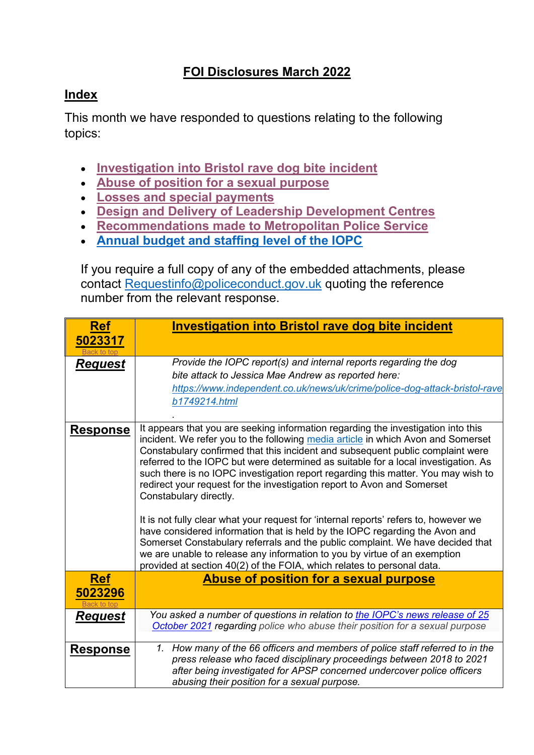## **FOI Disclosures March 2022**

## <span id="page-0-2"></span>**Index**

This month we have responded to questions relating to the following topics:

- **[Investigation into Bristol](#page-0-0) rave dog bite incident**
- **[Abuse of position for a sexual purpose](#page-0-1)**
- **[Losses and special payments](#page-4-0)**
- **Design [and Delivery of Leadership Development Centres](#page-5-0)**
- **Recommendations made [to Metropolitan Police Service](#page-6-0)**
- **[Annual budget and staffing level of the IOPC](#page-7-0)**

If you require a full copy of any of the embedded attachments, please contact [Requestinfo@policeconduct.gov.uk](mailto:Requestinfo@policeconduct.gov.uk) quoting the reference number from the relevant response.

<span id="page-0-1"></span><span id="page-0-0"></span>

| <b>Ref</b>             | <b>Investigation into Bristol rave dog bite incident</b>                                                                                                                                                                                                                                                                                                                                                                                                                                                                                                                                                                                                                                                                                                                                                                                                                      |
|------------------------|-------------------------------------------------------------------------------------------------------------------------------------------------------------------------------------------------------------------------------------------------------------------------------------------------------------------------------------------------------------------------------------------------------------------------------------------------------------------------------------------------------------------------------------------------------------------------------------------------------------------------------------------------------------------------------------------------------------------------------------------------------------------------------------------------------------------------------------------------------------------------------|
| 5023317<br>Back to tor |                                                                                                                                                                                                                                                                                                                                                                                                                                                                                                                                                                                                                                                                                                                                                                                                                                                                               |
| <b>Request</b>         | Provide the IOPC report(s) and internal reports regarding the dog<br>bite attack to Jessica Mae Andrew as reported here:<br>https://www.independent.co.uk/news/uk/crime/police-dog-attack-bristol-rave<br>b1749214.html                                                                                                                                                                                                                                                                                                                                                                                                                                                                                                                                                                                                                                                       |
| <b>Response</b>        | It appears that you are seeking information regarding the investigation into this<br>incident. We refer you to the following media article in which Avon and Somerset<br>Constabulary confirmed that this incident and subsequent public complaint were<br>referred to the IOPC but were determined as suitable for a local investigation. As<br>such there is no IOPC investigation report regarding this matter. You may wish to<br>redirect your request for the investigation report to Avon and Somerset<br>Constabulary directly.<br>It is not fully clear what your request for 'internal reports' refers to, however we<br>have considered information that is held by the IOPC regarding the Avon and<br>Somerset Constabulary referrals and the public complaint. We have decided that<br>we are unable to release any information to you by virtue of an exemption |
|                        | provided at section 40(2) of the FOIA, which relates to personal data.                                                                                                                                                                                                                                                                                                                                                                                                                                                                                                                                                                                                                                                                                                                                                                                                        |
| <b>Ref</b><br>5023296  | Abuse of position for a sexual purpose                                                                                                                                                                                                                                                                                                                                                                                                                                                                                                                                                                                                                                                                                                                                                                                                                                        |
| <b>Request</b>         | You asked a number of questions in relation to the IOPC's news release of 25<br>October 2021 regarding police who abuse their position for a sexual purpose                                                                                                                                                                                                                                                                                                                                                                                                                                                                                                                                                                                                                                                                                                                   |
| <b>Response</b>        | 1. How many of the 66 officers and members of police staff referred to in the<br>press release who faced disciplinary proceedings between 2018 to 2021<br>after being investigated for APSP concerned undercover police officers<br>abusing their position for a sexual purpose.                                                                                                                                                                                                                                                                                                                                                                                                                                                                                                                                                                                              |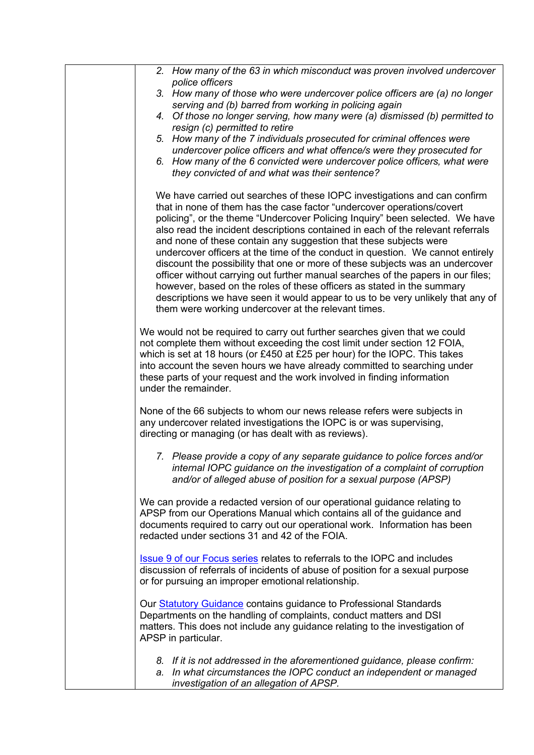| 2. How many of the 63 in which misconduct was proven involved undercover<br>police officers<br>3. How many of those who were undercover police officers are (a) no longer<br>serving and (b) barred from working in policing again<br>4. Of those no longer serving, how many were (a) dismissed (b) permitted to<br>resign (c) permitted to retire<br>5. How many of the 7 individuals prosecuted for criminal offences were<br>undercover police officers and what offence/s were they prosecuted for<br>6. How many of the 6 convicted were undercover police officers, what were<br>they convicted of and what was their sentence?                                                                                                                                                                                                                                 |
|------------------------------------------------------------------------------------------------------------------------------------------------------------------------------------------------------------------------------------------------------------------------------------------------------------------------------------------------------------------------------------------------------------------------------------------------------------------------------------------------------------------------------------------------------------------------------------------------------------------------------------------------------------------------------------------------------------------------------------------------------------------------------------------------------------------------------------------------------------------------|
| We have carried out searches of these IOPC investigations and can confirm<br>that in none of them has the case factor "undercover operations/covert<br>policing", or the theme "Undercover Policing Inquiry" been selected. We have<br>also read the incident descriptions contained in each of the relevant referrals<br>and none of these contain any suggestion that these subjects were<br>undercover officers at the time of the conduct in question. We cannot entirely<br>discount the possibility that one or more of these subjects was an undercover<br>officer without carrying out further manual searches of the papers in our files;<br>however, based on the roles of these officers as stated in the summary<br>descriptions we have seen it would appear to us to be very unlikely that any of<br>them were working undercover at the relevant times. |
| We would not be required to carry out further searches given that we could<br>not complete them without exceeding the cost limit under section 12 FOIA,<br>which is set at 18 hours (or £450 at £25 per hour) for the IOPC. This takes<br>into account the seven hours we have already committed to searching under<br>these parts of your request and the work involved in finding information<br>under the remainder.                                                                                                                                                                                                                                                                                                                                                                                                                                                |
| None of the 66 subjects to whom our news release refers were subjects in<br>any undercover related investigations the IOPC is or was supervising,<br>directing or managing (or has dealt with as reviews).                                                                                                                                                                                                                                                                                                                                                                                                                                                                                                                                                                                                                                                             |
| 7. Please provide a copy of any separate guidance to police forces and/or<br>internal IOPC guidance on the investigation of a complaint of corruption<br>and/or of alleged abuse of position for a sexual purpose (APSP)                                                                                                                                                                                                                                                                                                                                                                                                                                                                                                                                                                                                                                               |
| We can provide a redacted version of our operational guidance relating to<br>APSP from our Operations Manual which contains all of the guidance and<br>documents required to carry out our operational work. Information has been<br>redacted under sections 31 and 42 of the FOIA.                                                                                                                                                                                                                                                                                                                                                                                                                                                                                                                                                                                    |
| <b>Issue 9 of our Focus series relates to referrals to the IOPC and includes</b><br>discussion of referrals of incidents of abuse of position for a sexual purpose<br>or for pursuing an improper emotional relationship.                                                                                                                                                                                                                                                                                                                                                                                                                                                                                                                                                                                                                                              |
| Our <b>Statutory Guidance</b> contains guidance to Professional Standards<br>Departments on the handling of complaints, conduct matters and DSI<br>matters. This does not include any guidance relating to the investigation of<br>APSP in particular.                                                                                                                                                                                                                                                                                                                                                                                                                                                                                                                                                                                                                 |
| 8. If it is not addressed in the aforementioned guidance, please confirm:<br>a. In what circumstances the IOPC conduct an independent or managed<br>investigation of an allegation of APSP.                                                                                                                                                                                                                                                                                                                                                                                                                                                                                                                                                                                                                                                                            |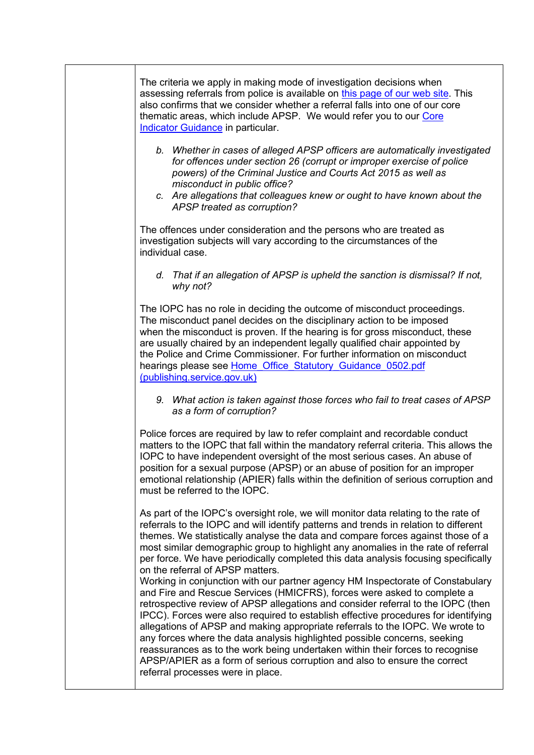The criteria we apply in making mode of investigation decisions when assessing referrals from police is available on [this page of our web site.](https://www.policeconduct.gov.uk/complaints-reviews-and-appeals/statutory-guidance/assessing-referrals) This also confirms that we consider whether a referral falls into one of our core thematic areas, which include APSP. We would refer you to our [Core](https://www.policeconduct.gov.uk/sites/default/files/Documents/statutoryguidance/core_indicator_guidance_assessing_IOPC_referrals.pdf)  [Indicator Guidance](https://www.policeconduct.gov.uk/sites/default/files/Documents/statutoryguidance/core_indicator_guidance_assessing_IOPC_referrals.pdf) in particular.

- *b. Whether in cases of alleged APSP officers are automatically investigated for offences under section 26 (corrupt or improper exercise of police powers) of the Criminal Justice and Courts Act 2015 as well as misconduct in public office?*
- *c. Are allegations that colleagues knew or ought to have known about the APSP treated as corruption?*

The offences under consideration and the persons who are treated as investigation subjects will vary according to the circumstances of the individual case.

*d. That if an allegation of APSP is upheld the sanction is dismissal? If not, why not?*

The IOPC has no role in deciding the outcome of misconduct proceedings. The misconduct panel decides on the disciplinary action to be imposed when the misconduct is proven. If the hearing is for gross misconduct, these are usually chaired by an independent legally qualified chair appointed by the Police and Crime Commissioner. For further information on misconduct hearings please see Home\_Office\_Statutory\_Guidance\_0502.pdf [\(publishing.service.gov.uk\)](https://assets.publishing.service.gov.uk/government/uploads/system/uploads/attachment_data/file/863820/Home_Office_Statutory_Guidance_0502.pdf)

*9. What action is taken against those forces who fail to treat cases of APSP as a form of corruption?*

Police forces are required by law to refer complaint and recordable conduct matters to the IOPC that fall within the mandatory referral criteria. This allows the IOPC to have independent oversight of the most serious cases. An abuse of position for a sexual purpose (APSP) or an abuse of position for an improper emotional relationship (APIER) falls within the definition of serious corruption and must be referred to the IOPC.

As part of the IOPC's oversight role, we will monitor data relating to the rate of referrals to the IOPC and will identify patterns and trends in relation to different themes. We statistically analyse the data and compare forces against those of a most similar demographic group to highlight any anomalies in the rate of referral per force. We have periodically completed this data analysis focusing specifically on the referral of APSP matters.

Working in conjunction with our partner agency HM Inspectorate of Constabulary and Fire and Rescue Services (HMICFRS), forces were asked to complete a retrospective review of APSP allegations and consider referral to the IOPC (then IPCC). Forces were also required to establish effective procedures for identifying allegations of APSP and making appropriate referrals to the IOPC. We wrote to any forces where the data analysis highlighted possible concerns, seeking reassurances as to the work being undertaken within their forces to recognise APSP/APIER as a form of serious corruption and also to ensure the correct referral processes were in place.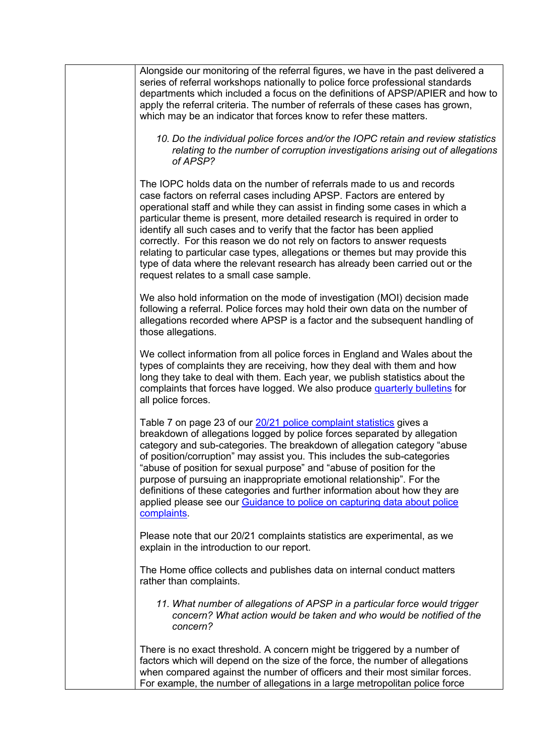| Alongside our monitoring of the referral figures, we have in the past delivered a<br>series of referral workshops nationally to police force professional standards<br>departments which included a focus on the definitions of APSP/APIER and how to<br>apply the referral criteria. The number of referrals of these cases has grown,<br>which may be an indicator that forces know to refer these matters.                                                                                                                                                                                                                                                                  |
|--------------------------------------------------------------------------------------------------------------------------------------------------------------------------------------------------------------------------------------------------------------------------------------------------------------------------------------------------------------------------------------------------------------------------------------------------------------------------------------------------------------------------------------------------------------------------------------------------------------------------------------------------------------------------------|
| 10. Do the individual police forces and/or the IOPC retain and review statistics<br>relating to the number of corruption investigations arising out of allegations<br>of APSP?                                                                                                                                                                                                                                                                                                                                                                                                                                                                                                 |
| The IOPC holds data on the number of referrals made to us and records<br>case factors on referral cases including APSP. Factors are entered by<br>operational staff and while they can assist in finding some cases in which a<br>particular theme is present, more detailed research is required in order to<br>identify all such cases and to verify that the factor has been applied<br>correctly. For this reason we do not rely on factors to answer requests<br>relating to particular case types, allegations or themes but may provide this<br>type of data where the relevant research has already been carried out or the<br>request relates to a small case sample. |
| We also hold information on the mode of investigation (MOI) decision made<br>following a referral. Police forces may hold their own data on the number of<br>allegations recorded where APSP is a factor and the subsequent handling of<br>those allegations.                                                                                                                                                                                                                                                                                                                                                                                                                  |
| We collect information from all police forces in England and Wales about the<br>types of complaints they are receiving, how they deal with them and how<br>long they take to deal with them. Each year, we publish statistics about the<br>complaints that forces have logged. We also produce quarterly bulletins for<br>all police forces.                                                                                                                                                                                                                                                                                                                                   |
| Table 7 on page 23 of our 20/21 police complaint statistics gives a<br>breakdown of allegations logged by police forces separated by allegation<br>category and sub-categories. The breakdown of allegation category "abuse<br>of position/corruption" may assist you. This includes the sub-categories<br>"abuse of position for sexual purpose" and "abuse of position for the<br>purpose of pursuing an inappropriate emotional relationship". For the<br>definitions of these categories and further information about how they are<br>applied please see our Guidance to police on capturing data about police<br>complaints.                                             |
| Please note that our 20/21 complaints statistics are experimental, as we<br>explain in the introduction to our report.                                                                                                                                                                                                                                                                                                                                                                                                                                                                                                                                                         |
| The Home office collects and publishes data on internal conduct matters<br>rather than complaints.                                                                                                                                                                                                                                                                                                                                                                                                                                                                                                                                                                             |
| 11. What number of allegations of APSP in a particular force would trigger<br>concern? What action would be taken and who would be notified of the<br>concern?                                                                                                                                                                                                                                                                                                                                                                                                                                                                                                                 |
| There is no exact threshold. A concern might be triggered by a number of<br>factors which will depend on the size of the force, the number of allegations<br>when compared against the number of officers and their most similar forces.<br>For example, the number of allegations in a large metropolitan police force                                                                                                                                                                                                                                                                                                                                                        |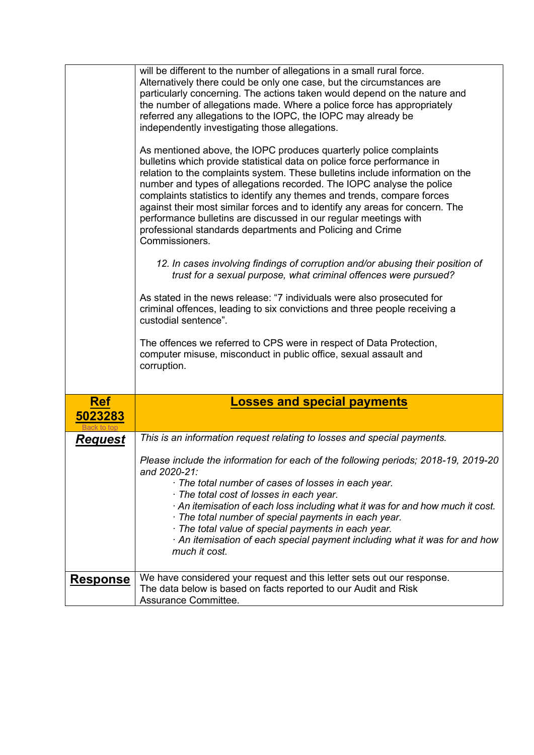<span id="page-4-0"></span>

|                       | will be different to the number of allegations in a small rural force.<br>Alternatively there could be only one case, but the circumstances are<br>particularly concerning. The actions taken would depend on the nature and<br>the number of allegations made. Where a police force has appropriately<br>referred any allegations to the IOPC, the IOPC may already be<br>independently investigating those allegations.<br>As mentioned above, the IOPC produces quarterly police complaints<br>bulletins which provide statistical data on police force performance in<br>relation to the complaints system. These bulletins include information on the<br>number and types of allegations recorded. The IOPC analyse the police<br>complaints statistics to identify any themes and trends, compare forces<br>against their most similar forces and to identify any areas for concern. The<br>performance bulletins are discussed in our regular meetings with<br>professional standards departments and Policing and Crime<br>Commissioners.<br>12. In cases involving findings of corruption and/or abusing their position of<br>trust for a sexual purpose, what criminal offences were pursued?<br>As stated in the news release: "7 individuals were also prosecuted for<br>criminal offences, leading to six convictions and three people receiving a<br>custodial sentence".<br>The offences we referred to CPS were in respect of Data Protection,<br>computer misuse, misconduct in public office, sexual assault and<br>corruption. |
|-----------------------|---------------------------------------------------------------------------------------------------------------------------------------------------------------------------------------------------------------------------------------------------------------------------------------------------------------------------------------------------------------------------------------------------------------------------------------------------------------------------------------------------------------------------------------------------------------------------------------------------------------------------------------------------------------------------------------------------------------------------------------------------------------------------------------------------------------------------------------------------------------------------------------------------------------------------------------------------------------------------------------------------------------------------------------------------------------------------------------------------------------------------------------------------------------------------------------------------------------------------------------------------------------------------------------------------------------------------------------------------------------------------------------------------------------------------------------------------------------------------------------------------------------------------------------------------|
|                       |                                                                                                                                                                                                                                                                                                                                                                                                                                                                                                                                                                                                                                                                                                                                                                                                                                                                                                                                                                                                                                                                                                                                                                                                                                                                                                                                                                                                                                                                                                                                                   |
| <b>Ref</b><br>5023283 | <b>Losses and special payments</b>                                                                                                                                                                                                                                                                                                                                                                                                                                                                                                                                                                                                                                                                                                                                                                                                                                                                                                                                                                                                                                                                                                                                                                                                                                                                                                                                                                                                                                                                                                                |
| <b>Request</b>        | This is an information request relating to losses and special payments.                                                                                                                                                                                                                                                                                                                                                                                                                                                                                                                                                                                                                                                                                                                                                                                                                                                                                                                                                                                                                                                                                                                                                                                                                                                                                                                                                                                                                                                                           |
|                       | Please include the information for each of the following periods; 2018-19, 2019-20<br>and 2020-21:<br>· The total number of cases of losses in each year.<br>· The total cost of losses in each year.<br>An itemisation of each loss including what it was for and how much it cost.<br>The total number of special payments in each year.<br>The total value of special payments in each year.<br>An itemisation of each special payment including what it was for and how<br>much it cost.                                                                                                                                                                                                                                                                                                                                                                                                                                                                                                                                                                                                                                                                                                                                                                                                                                                                                                                                                                                                                                                      |
|                       |                                                                                                                                                                                                                                                                                                                                                                                                                                                                                                                                                                                                                                                                                                                                                                                                                                                                                                                                                                                                                                                                                                                                                                                                                                                                                                                                                                                                                                                                                                                                                   |
| <u>Response</u>       | We have considered your request and this letter sets out our response.<br>The data below is based on facts reported to our Audit and Risk<br>Assurance Committee.                                                                                                                                                                                                                                                                                                                                                                                                                                                                                                                                                                                                                                                                                                                                                                                                                                                                                                                                                                                                                                                                                                                                                                                                                                                                                                                                                                                 |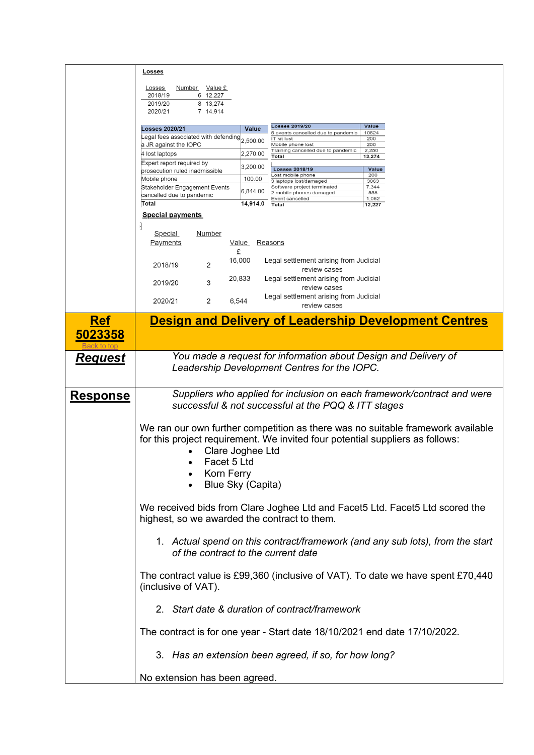<span id="page-5-0"></span>

|                 | <u>Losses</u>                                                                                                                                                  |
|-----------------|----------------------------------------------------------------------------------------------------------------------------------------------------------------|
|                 | <b>Losses</b><br>Number Value £                                                                                                                                |
|                 | 2018/19<br>6 12,227                                                                                                                                            |
|                 | 2019/20<br>8 13,274<br>2020/21<br>7 14,914                                                                                                                     |
|                 |                                                                                                                                                                |
|                 | <b>Losses 2019/20</b><br><b>Value</b><br><b>Losses 2020/21</b><br>Value<br>10624<br>5 events cancelled due to pandemic<br>Legal fees associated with defending |
|                 | 200<br><b>IT kit lost</b><br>2,500.00<br>a JR against the IOPC<br>200<br>Mobile phone lost                                                                     |
|                 | 2,250<br>Training cancelled due to pandemic<br>2,270.00<br>4 lost laptops<br>13,274<br>Total                                                                   |
|                 | Expert report required by<br>3,200.00<br>Value<br><b>Losses 2018/19</b>                                                                                        |
|                 | prosecution ruled inadmissible<br>200<br>ost mobile phone<br>100.00<br>Mobile phone<br>3063<br>3 laptops lost/damaged                                          |
|                 | Software project terminated<br>7,344<br>Stakeholder Engagement Events<br>6,844.00<br>2 mobile phones damaged<br>558                                            |
|                 | cancelled due to pandemic<br>Event cancelled<br>1,062<br>Total<br>14,914.0<br>Total                                                                            |
|                 | 12,227<br><b>Special payments</b>                                                                                                                              |
|                 |                                                                                                                                                                |
|                 | <b>Special</b><br><u>Number</u>                                                                                                                                |
|                 | Payments<br>Value<br>Reasons                                                                                                                                   |
|                 | £                                                                                                                                                              |
|                 | 16,000<br>Legal settlement arising from Judicial<br>2018/19<br>2<br>review cases                                                                               |
|                 | 20,833<br>Legal settlement arising from Judicial<br>3                                                                                                          |
|                 | 2019/20<br>review cases                                                                                                                                        |
|                 | Legal settlement arising from Judicial<br>2020/21<br>2<br>6,544                                                                                                |
|                 | review cases                                                                                                                                                   |
| <b>Ref</b>      | <b>Design and Delivery of Leadership Development Centres</b>                                                                                                   |
| 5023358         |                                                                                                                                                                |
|                 |                                                                                                                                                                |
| <u>Request</u>  | You made a request for information about Design and Delivery of                                                                                                |
|                 | Leadership Development Centres for the IOPC.                                                                                                                   |
|                 |                                                                                                                                                                |
| <b>Response</b> | Suppliers who applied for inclusion on each framework/contract and were                                                                                        |
|                 | successful & not successful at the PQQ & ITT stages                                                                                                            |
|                 |                                                                                                                                                                |
|                 | We ran our own further competition as there was no suitable framework available                                                                                |
|                 | for this project requirement. We invited four potential suppliers as follows:                                                                                  |
|                 | Clare Joghee Ltd                                                                                                                                               |
|                 | Facet 5 Ltd                                                                                                                                                    |
|                 | Korn Ferry                                                                                                                                                     |
|                 | Blue Sky (Capita)                                                                                                                                              |
|                 |                                                                                                                                                                |
|                 | We received bids from Clare Joghee Ltd and Facet5 Ltd. Facet5 Ltd scored the                                                                                   |
|                 | highest, so we awarded the contract to them.                                                                                                                   |
|                 |                                                                                                                                                                |
|                 | 1. Actual spend on this contract/framework (and any sub lots), from the start                                                                                  |
|                 | of the contract to the current date                                                                                                                            |
|                 |                                                                                                                                                                |
|                 | The contract value is £99,360 (inclusive of VAT). To date we have spent £70,440                                                                                |
|                 | (inclusive of VAT).                                                                                                                                            |
|                 |                                                                                                                                                                |
|                 | 2. Start date & duration of contract/framework                                                                                                                 |
|                 |                                                                                                                                                                |
|                 | The contract is for one year - Start date 18/10/2021 end date 17/10/2022.                                                                                      |
|                 |                                                                                                                                                                |
|                 | 3. Has an extension been agreed, if so, for how long?                                                                                                          |
|                 |                                                                                                                                                                |
|                 | No extension has been agreed.                                                                                                                                  |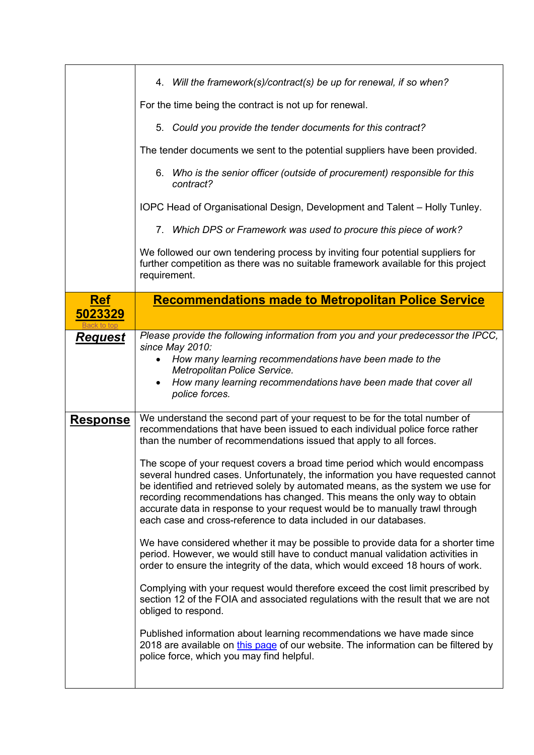<span id="page-6-0"></span>

|                 | 4. Will the framework(s)/contract(s) be up for renewal, if so when?                                                                                                                                                                                                                                                                                                                                                                                                              |
|-----------------|----------------------------------------------------------------------------------------------------------------------------------------------------------------------------------------------------------------------------------------------------------------------------------------------------------------------------------------------------------------------------------------------------------------------------------------------------------------------------------|
|                 | For the time being the contract is not up for renewal.                                                                                                                                                                                                                                                                                                                                                                                                                           |
|                 | 5. Could you provide the tender documents for this contract?                                                                                                                                                                                                                                                                                                                                                                                                                     |
|                 | The tender documents we sent to the potential suppliers have been provided.                                                                                                                                                                                                                                                                                                                                                                                                      |
|                 | 6. Who is the senior officer (outside of procurement) responsible for this<br>contract?                                                                                                                                                                                                                                                                                                                                                                                          |
|                 | IOPC Head of Organisational Design, Development and Talent - Holly Tunley.                                                                                                                                                                                                                                                                                                                                                                                                       |
|                 | 7. Which DPS or Framework was used to procure this piece of work?                                                                                                                                                                                                                                                                                                                                                                                                                |
|                 | We followed our own tendering process by inviting four potential suppliers for<br>further competition as there was no suitable framework available for this project<br>requirement.                                                                                                                                                                                                                                                                                              |
| <b>Ref</b>      | <b>Recommendations made to Metropolitan Police Service</b>                                                                                                                                                                                                                                                                                                                                                                                                                       |
| 5023329         |                                                                                                                                                                                                                                                                                                                                                                                                                                                                                  |
| <b>Request</b>  | Please provide the following information from you and your predecessor the IPCC,                                                                                                                                                                                                                                                                                                                                                                                                 |
|                 | since May 2010:<br>How many learning recommendations have been made to the                                                                                                                                                                                                                                                                                                                                                                                                       |
|                 | Metropolitan Police Service.<br>How many learning recommendations have been made that cover all                                                                                                                                                                                                                                                                                                                                                                                  |
|                 | police forces.                                                                                                                                                                                                                                                                                                                                                                                                                                                                   |
| <u>Response</u> | We understand the second part of your request to be for the total number of<br>recommendations that have been issued to each individual police force rather<br>than the number of recommendations issued that apply to all forces.                                                                                                                                                                                                                                               |
|                 | The scope of your request covers a broad time period which would encompass<br>several hundred cases. Unfortunately, the information you have requested cannot<br>be identified and retrieved solely by automated means, as the system we use for<br>recording recommendations has changed. This means the only way to obtain<br>accurate data in response to your request would be to manually trawl through<br>each case and cross-reference to data included in our databases. |
|                 | We have considered whether it may be possible to provide data for a shorter time<br>period. However, we would still have to conduct manual validation activities in<br>order to ensure the integrity of the data, which would exceed 18 hours of work.                                                                                                                                                                                                                           |
|                 | Complying with your request would therefore exceed the cost limit prescribed by<br>section 12 of the FOIA and associated regulations with the result that we are not<br>obliged to respond.                                                                                                                                                                                                                                                                                      |
|                 | Published information about learning recommendations we have made since<br>2018 are available on this page of our website. The information can be filtered by<br>police force, which you may find helpful.                                                                                                                                                                                                                                                                       |
|                 |                                                                                                                                                                                                                                                                                                                                                                                                                                                                                  |